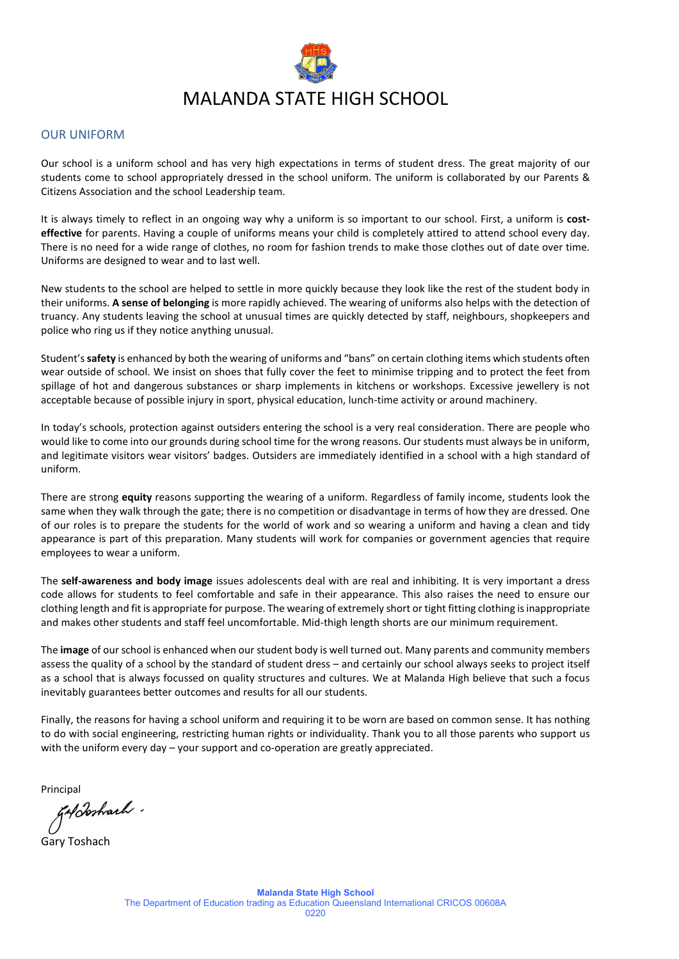

#### OUR UNIFORM

Our school is a uniform school and has very high expectations in terms of student dress. The great majority of our students come to school appropriately dressed in the school uniform. The uniform is collaborated by our Parents & Citizens Association and the school Leadership team.

It is always timely to reflect in an ongoing way why a uniform is so important to our school. First, a uniform is **costeffective** for parents. Having a couple of uniforms means your child is completely attired to attend school every day. There is no need for a wide range of clothes, no room for fashion trends to make those clothes out of date over time. Uniforms are designed to wear and to last well.

New students to the school are helped to settle in more quickly because they look like the rest of the student body in their uniforms. **A sense of belonging** is more rapidly achieved. The wearing of uniforms also helps with the detection of truancy. Any students leaving the school at unusual times are quickly detected by staff, neighbours, shopkeepers and police who ring us if they notice anything unusual.

Student's **safety** is enhanced by both the wearing of uniforms and "bans" on certain clothing items which students often wear outside of school. We insist on shoes that fully cover the feet to minimise tripping and to protect the feet from spillage of hot and dangerous substances or sharp implements in kitchens or workshops. Excessive jewellery is not acceptable because of possible injury in sport, physical education, lunch-time activity or around machinery.

In today's schools, protection against outsiders entering the school is a very real consideration. There are people who would like to come into our grounds during school time for the wrong reasons. Our students must always be in uniform, and legitimate visitors wear visitors' badges. Outsiders are immediately identified in a school with a high standard of uniform.

There are strong **equity** reasons supporting the wearing of a uniform. Regardless of family income, students look the same when they walk through the gate; there is no competition or disadvantage in terms of how they are dressed. One of our roles is to prepare the students for the world of work and so wearing a uniform and having a clean and tidy appearance is part of this preparation. Many students will work for companies or government agencies that require employees to wear a uniform.

The **self-awareness and body image** issues adolescents deal with are real and inhibiting. It is very important a dress code allows for students to feel comfortable and safe in their appearance. This also raises the need to ensure our clothing length and fit is appropriate for purpose. The wearing of extremely short or tight fitting clothing is inappropriate and makes other students and staff feel uncomfortable. Mid-thigh length shorts are our minimum requirement.

The **image** of our school is enhanced when our student body is well turned out. Many parents and community members assess the quality of a school by the standard of student dress – and certainly our school always seeks to project itself as a school that is always focussed on quality structures and cultures. We at Malanda High believe that such a focus inevitably guarantees better outcomes and results for all our students.

Finally, the reasons for having a school uniform and requiring it to be worn are based on common sense. It has nothing to do with social engineering, restricting human rights or individuality. Thank you to all those parents who support us with the uniform every day – your support and co-operation are greatly appreciated.

Principal<br>FADosharh .

Gary Toshach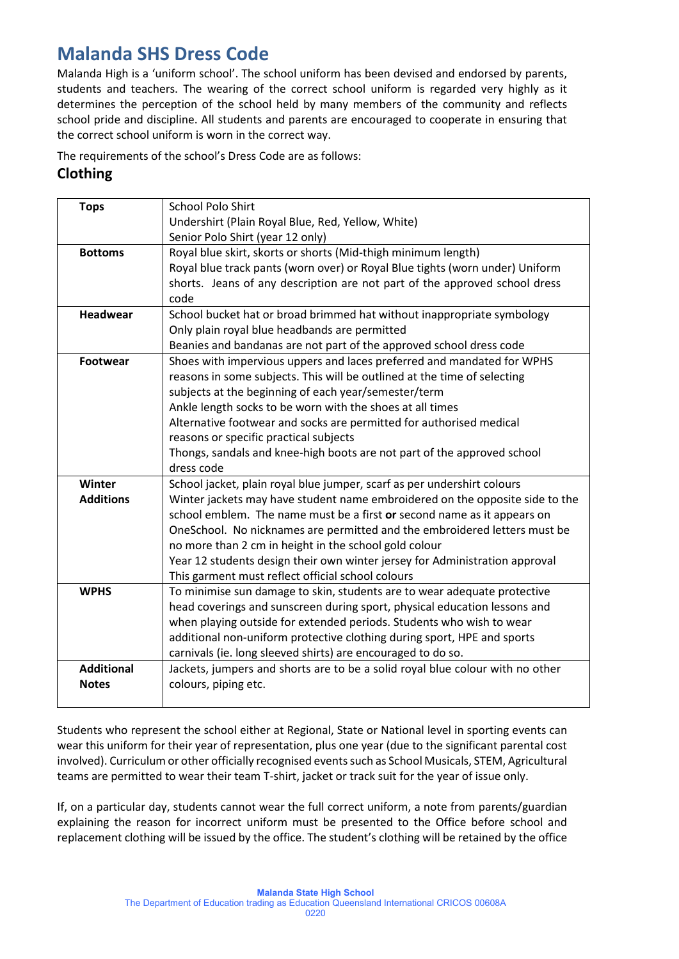# **Malanda SHS Dress Code**

Malanda High is a 'uniform school'. The school uniform has been devised and endorsed by parents, students and teachers. The wearing of the correct school uniform is regarded very highly as it determines the perception of the school held by many members of the community and reflects school pride and discipline. All students and parents are encouraged to cooperate in ensuring that the correct school uniform is worn in the correct way.

The requirements of the school's Dress Code are as follows:

## **Clothing**

| <b>Tops</b>       | <b>School Polo Shirt</b>                                                      |  |  |
|-------------------|-------------------------------------------------------------------------------|--|--|
|                   | Undershirt (Plain Royal Blue, Red, Yellow, White)                             |  |  |
|                   | Senior Polo Shirt (year 12 only)                                              |  |  |
| <b>Bottoms</b>    | Royal blue skirt, skorts or shorts (Mid-thigh minimum length)                 |  |  |
|                   | Royal blue track pants (worn over) or Royal Blue tights (worn under) Uniform  |  |  |
|                   | shorts. Jeans of any description are not part of the approved school dress    |  |  |
|                   | code                                                                          |  |  |
| <b>Headwear</b>   | School bucket hat or broad brimmed hat without inappropriate symbology        |  |  |
|                   | Only plain royal blue headbands are permitted                                 |  |  |
|                   | Beanies and bandanas are not part of the approved school dress code           |  |  |
| <b>Footwear</b>   | Shoes with impervious uppers and laces preferred and mandated for WPHS        |  |  |
|                   | reasons in some subjects. This will be outlined at the time of selecting      |  |  |
|                   | subjects at the beginning of each year/semester/term                          |  |  |
|                   | Ankle length socks to be worn with the shoes at all times                     |  |  |
|                   | Alternative footwear and socks are permitted for authorised medical           |  |  |
|                   | reasons or specific practical subjects                                        |  |  |
|                   | Thongs, sandals and knee-high boots are not part of the approved school       |  |  |
|                   | dress code                                                                    |  |  |
| Winter            | School jacket, plain royal blue jumper, scarf as per undershirt colours       |  |  |
| <b>Additions</b>  | Winter jackets may have student name embroidered on the opposite side to the  |  |  |
|                   | school emblem. The name must be a first or second name as it appears on       |  |  |
|                   | OneSchool. No nicknames are permitted and the embroidered letters must be     |  |  |
|                   | no more than 2 cm in height in the school gold colour                         |  |  |
|                   | Year 12 students design their own winter jersey for Administration approval   |  |  |
|                   | This garment must reflect official school colours                             |  |  |
| <b>WPHS</b>       | To minimise sun damage to skin, students are to wear adequate protective      |  |  |
|                   | head coverings and sunscreen during sport, physical education lessons and     |  |  |
|                   | when playing outside for extended periods. Students who wish to wear          |  |  |
|                   | additional non-uniform protective clothing during sport, HPE and sports       |  |  |
| <b>Additional</b> | carnivals (ie. long sleeved shirts) are encouraged to do so.                  |  |  |
| <b>Notes</b>      | Jackets, jumpers and shorts are to be a solid royal blue colour with no other |  |  |
|                   | colours, piping etc.                                                          |  |  |
|                   |                                                                               |  |  |

Students who represent the school either at Regional, State or National level in sporting events can wear this uniform for their year of representation, plus one year (due to the significant parental cost involved). Curriculum or other officially recognised events such as School Musicals, STEM, Agricultural teams are permitted to wear their team T-shirt, jacket or track suit for the year of issue only.

If, on a particular day, students cannot wear the full correct uniform, a note from parents/guardian explaining the reason for incorrect uniform must be presented to the Office before school and replacement clothing will be issued by the office. The student's clothing will be retained by the office